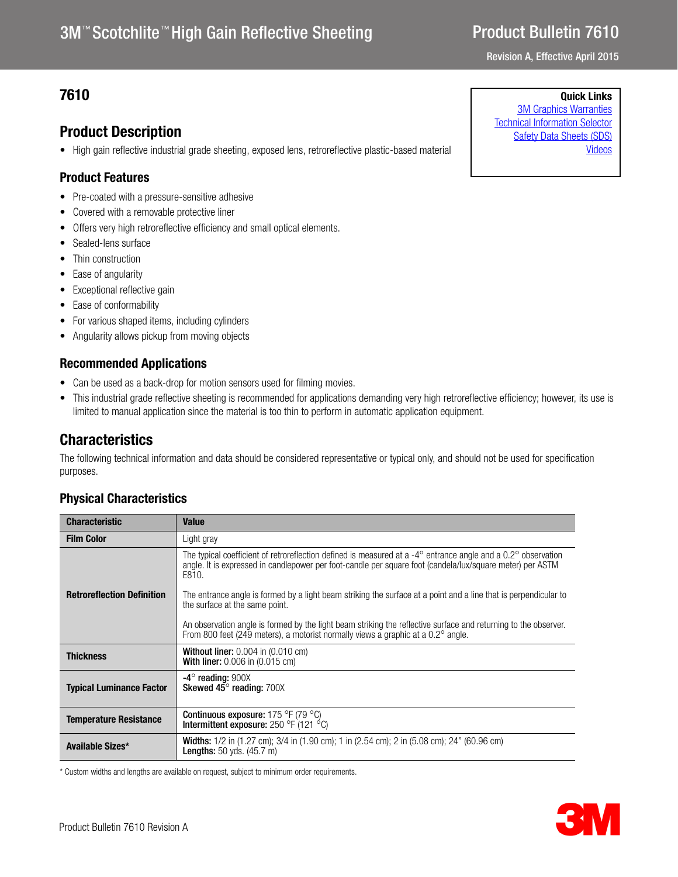# 3M<sup>™</sup> Scotchlite<sup>™</sup> High Gain Reflective Sheeting

# Product Bulletin 7610

Revision A, Effective April 2015

## **7610** Quick Links

## Product Description

• High gain reflective industrial grade sheeting, exposed lens, retroreflective plastic-based material

## Product Features

- Pre-coated with a pressure-sensitive adhesive
- Covered with a removable protective liner
- Offers very high retroreflective efficiency and small optical elements.
- Sealed-lens surface
- Thin construction
- Ease of angularity
- Exceptional reflective gain
- Ease of conformability
- For various shaped items, including cylinders
- Angularity allows pickup from moving objects

### Recommended Applications

- Can be used as a back-drop for motion sensors used for filming movies.
- This industrial grade reflective sheeting is recommended for applications demanding very high retroreflective efficiency; however, its use is limited to manual application since the material is too thin to perform in automatic application equipment.

## **Characteristics**

The following technical information and data should be considered representative or typical only, and should not be used for specification purposes.

## Physical Characteristics

| <b>Characteristic</b>             | <b>Value</b>                                                                                                                                                                                                                                                                                                                                                                |
|-----------------------------------|-----------------------------------------------------------------------------------------------------------------------------------------------------------------------------------------------------------------------------------------------------------------------------------------------------------------------------------------------------------------------------|
| <b>Film Color</b>                 | Light gray                                                                                                                                                                                                                                                                                                                                                                  |
| <b>Retroreflection Definition</b> | The typical coefficient of retroreflection defined is measured at a -4 $^{\circ}$ entrance angle and a 0.2 $^{\circ}$ observation<br>angle. It is expressed in candlepower per foot-candle per square foot (candela/lux/square meter) per ASTM<br>E810.<br>The entrance angle is formed by a light beam striking the surface at a point and a line that is perpendicular to |
|                                   | the surface at the same point.                                                                                                                                                                                                                                                                                                                                              |
|                                   | An observation angle is formed by the light beam striking the reflective surface and returning to the observer.<br>From 800 feet (249 meters), a motorist normally views a graphic at a 0.2° angle.                                                                                                                                                                         |
| <b>Thickness</b>                  | <b>Without liner:</b> $0.004$ in $(0.010$ cm)<br><b>With liner:</b> 0.006 in (0.015 cm)                                                                                                                                                                                                                                                                                     |
| <b>Typical Luminance Factor</b>   | $-4^\circ$ reading: 900X<br>Skewed 45° reading: 700X                                                                                                                                                                                                                                                                                                                        |
| <b>Temperature Resistance</b>     | <b>Continuous exposure:</b> 175 °F (79 °C)<br>Intermittent exposure: $250$ °F (121 °C)                                                                                                                                                                                                                                                                                      |
| Available Sizes*                  | <b>Widths:</b> $1/2$ in (1.27 cm); $3/4$ in (1.90 cm); 1 in (2.54 cm); 2 in (5.08 cm); 24" (60.96 cm)<br><b>Lengths:</b> $50$ yds. $(45.7 \text{ m})$                                                                                                                                                                                                                       |

\* Custom widths and lengths are available on request, subject to minimum order requirements.



[3M Graphics Warranties](http://solutions.3m.com/wps/portal/3M/en_US/Graphics/3Mgraphics/ToolsandSupport/Warranties/?WT.mc_id=www.3mgraphics.com/warranties) [Technical Information Selector](http://solutions.3m.com/wps/portal/3M/en_US/Graphics/3Mgraphics/ToolsAndSupport/TechnicalInformation/) [Safety Data Sheets \(SDS\)](http://solutions.3m.com/wps/portal/3M/en_WW/MSDS/Search?gsaAction=msdsSRA) [Videos](http://solutions.3m.com/wps/portal/3M/en_US/Graphics/3Mgraphics/ToolsAndSupport/Videos/)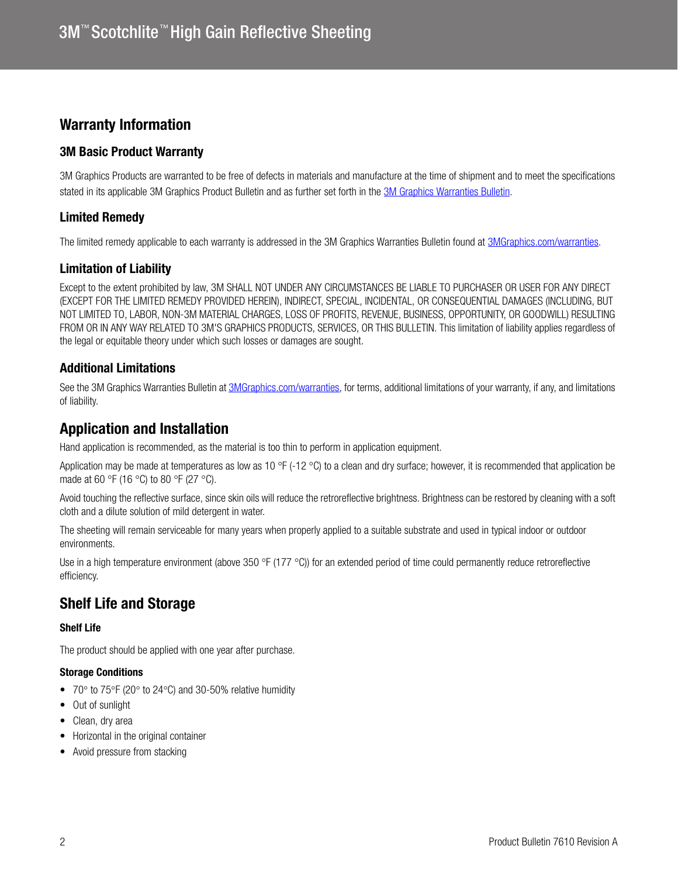## Warranty Information

## 3M Basic Product Warranty

3M Graphics Products are warranted to be free of defects in materials and manufacture at the time of shipment and to meet the specifications stated in its applicable 3M Graphics Product Bulletin and as further set forth in the [3M Graphics Warranties Bulletin.](3mgraphics.com/warranties)

## Limited Remedy

The limited remedy applicable to each warranty is addressed in the 3M Graphics Warranties Bulletin found at [3MGraphics.com/warranties.](3mgraphics.com/warranties)

## Limitation of Liability

Except to the extent prohibited by law, 3M SHALL NOT UNDER ANY CIRCUMSTANCES BE LIABLE TO PURCHASER OR USER FOR ANY DIRECT (EXCEPT FOR THE LIMITED REMEDY PROVIDED HEREIN), INDIRECT, SPECIAL, INCIDENTAL, OR CONSEQUENTIAL DAMAGES (INCLUDING, BUT NOT LIMITED TO, LABOR, NON-3M MATERIAL CHARGES, LOSS OF PROFITS, REVENUE, BUSINESS, OPPORTUNITY, OR GOODWILL) RESULTING FROM OR IN ANY WAY RELATED TO 3M'S GRAPHICS PRODUCTS, SERVICES, OR THIS BULLETIN. This limitation of liability applies regardless of the legal or equitable theory under which such losses or damages are sought.

## Additional Limitations

See the 3M Graphics Warranties Bulletin at [3MGraphics.com/warranties,](http://solutions.3m.com/wps/portal/3M/en_US/Graphics/3Mgraphics/ToolsandSupport/Warranties/?WT.mc_id=www.3mgraphics.com/warranties) for terms, additional limitations of your warranty, if any, and limitations of liability.

## Application and Installation

Hand application is recommended, as the material is too thin to perform in application equipment.

Application may be made at temperatures as low as 10 °F (-12 °C) to a clean and dry surface; however, it is recommended that application be made at 60 °F (16 °C) to 80 °F (27 °C).

Avoid touching the reflective surface, since skin oils will reduce the retroreflective brightness. Brightness can be restored by cleaning with a soft cloth and a dilute solution of mild detergent in water.

The sheeting will remain serviceable for many years when properly applied to a suitable substrate and used in typical indoor or outdoor environments.

Use in a high temperature environment (above 350 °F (177 °C)) for an extended period of time could permanently reduce retroreflective efficiency.

## Shelf Life and Storage

### Shelf Life

The product should be applied with one year after purchase.

#### Storage Conditions

- 70 $\degree$  to 75 $\degree$ F (20 $\degree$  to 24 $\degree$ C) and 30-50% relative humidity
- Out of sunlight
- Clean, dry area
- Horizontal in the original container
- Avoid pressure from stacking